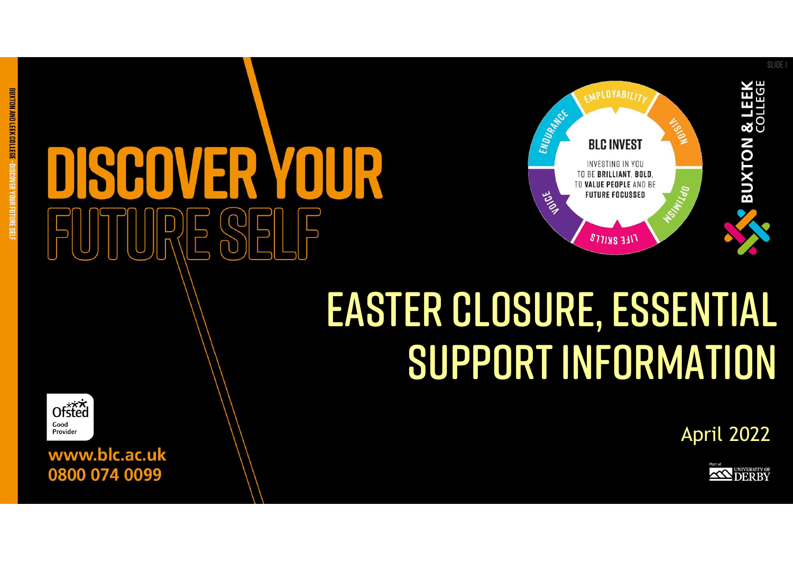

## Easter Closure, essential support information

April 2022





www.blc.ac.uk 0800 074 0099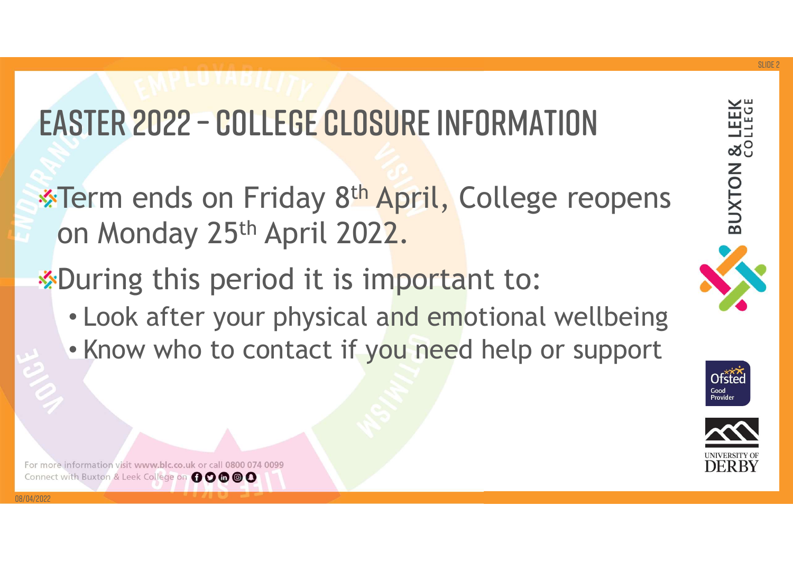### Easter 2022 – college closure information

- <sup>28</sup><br>Ferm ends on Friday 8<sup>th</sup> April, College reopens on Monday 25th April 2022.
- \*During this period it is important to:
	- Look after your physical and emotional wellbeing
	- Know who to contact if you need help or support





For more information visit www.blc.co.uk or call 0800 074 0099 Connect with Buxton & Leek College on 00000

08/04/2022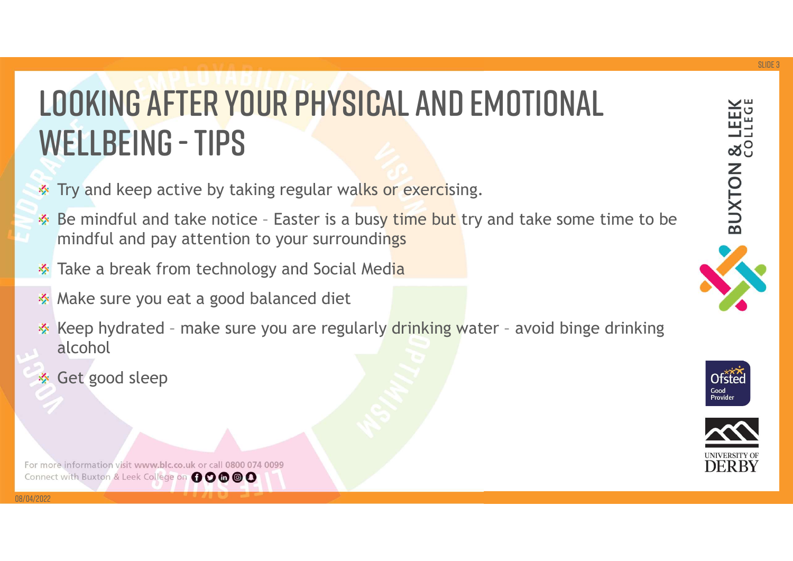# **BELLBEING - TIPS**<br>Be mindful and take notice – Easter is a busy time but try and take some time to be<br>Be mindful and take notice – Easter is a busy time but try and take some time to be<br>Be mindful and pay attention to you **SOKING AFTER YOUR PHYSICAL AND EMOTIONAL**<br> **KELLBEING - TIPS**<br>
Try and keep active by taking regular walks or exercising.<br>
Be mindful and take notice - Easter is a busy time but try and take some time to be<br>
mindful and p Looking after your physical and emotional LOOKING AFTER YOUR PHY

- Try and keep active by taking regular walks or exercising.
- mindful and pay attention to your surroundings
- Take a break from technology and Social Media ❖
- Make sure you eat a good balanced diet 秦
- alcohol
- Get good sleep

08/04/2022

For more information visit www.blc.co.uk or call 0800 074 0099 Connect with Buxton & Leek College on 00000





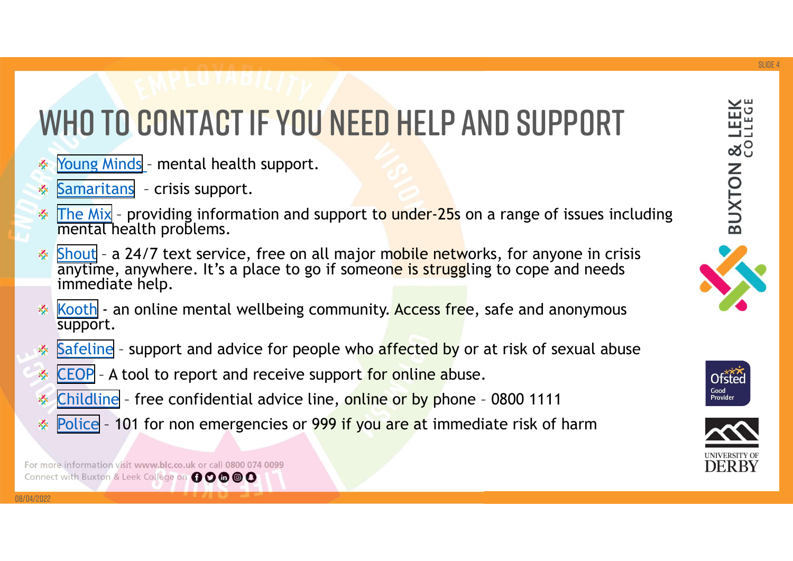## WHO TO CONTACT IF YOU NEED HELP The Mix - providing information and support.<br> [Samaritans](https://www.samaritans.org/) - crisis support.<br>
The Mix - providing information and support to under-25s<br>
The Mix - providing information and support to under-25s<br>
Shout - 2 24/7 tout sonsise, f [The Mix](https://www.themix.org.uk/get-support) – providing information and support<br>
Samaritans – rental health support.<br>
<u>Samaritans</u> – crisis support.<br>
<u>The Mix</u> – providing information and support to under-25s on a range of issues including<br>
<u>The Mix</u> – provi WHO TO CONTACT IF YOU NEED HELP AND SUPPORT

- 
- 
- mental health problems.
- [Shout](https://giveusashout.org/) a 24/7 text service, free on all major mobile networks, for anyone in crisis information and support.<br>
Shout a 24/7 text service, free on all major mobile networks, for anyone in crisis information and support to anytime, anywhere. It's a place to go if someone is struggling to cope and needs immediate help. [Kooth](https://www.kooth.com/) - an online mental wellbeing community. Access free, safe and anonymous<br>
Samaritans - crisis support.<br>
The Mix - providing information and support to under-25s on a range of issues including<br>
mental health problems.<br> **Samaritans** – enrotal health support.<br>
Samaritans – crisis support.<br>
Samaritans – crisis support.<br>
<u>Samaritans</u> – crisis support.<br>
<u>Samaritans</u> – crisis support.<br>
<u>Shout</u> – a 24/7 text service, free on all major mobile ne Young Minds - mental health support.<br>
Samaritans - crisis support.<br>
<u>The Mix</u> - providing information and support to under-25s on a range of issue<br>
<u>mental</u> health problems.<br>
<u>Shout</u> - a 24/7 text service, free on all majo Noung Minds - mental health support.<br>
Samaritans - crisis support.<br>
The Mix - providing information and support to under-25s on a range of issues including<br>
Shout - a 24/7 text service, free on all major mobile networks, f Samaritans - crisis support.<br>
The Mix - providing information and support to under-25s on a range of issues including<br>
mental health problems.<br>
Shout - a 24/7 text service, free on all major mobile networks, for anyone in
- support.
- 
- 
- 
- 



08/04/2022